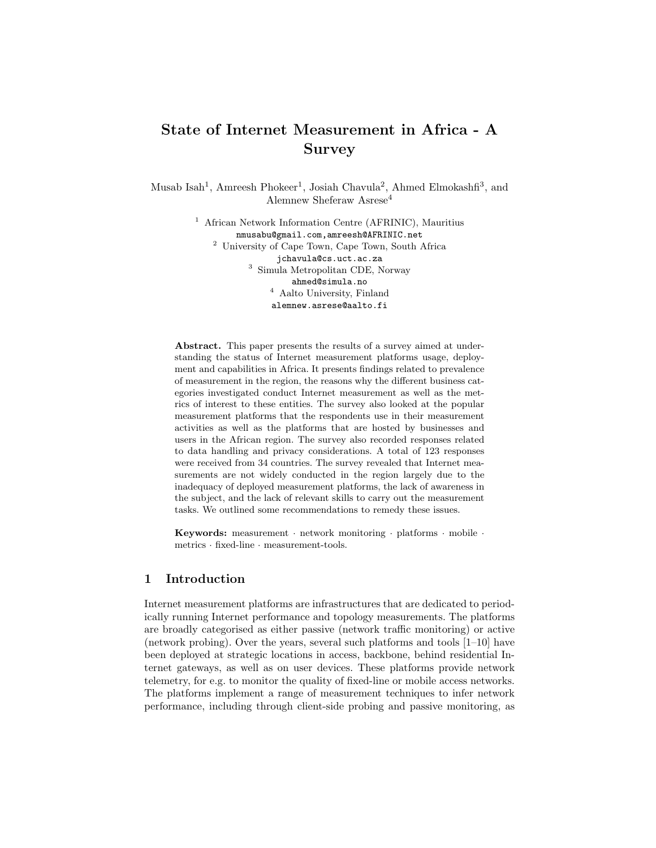# State of Internet Measurement in Africa - A Survey

Musab Isah<sup>1</sup>, Amreesh Phokeer<sup>1</sup>, Josiah Chavula<sup>2</sup>, Ahmed Elmokashfi<sup>3</sup>, and Alemnew Sheferaw Asrese<sup>4</sup>

> <sup>1</sup> African Network Information Centre (AFRINIC), Mauritius nmusabu@gmail.com,amreesh@AFRINIC.net <sup>2</sup> University of Cape Town, Cape Town, South Africa jchavula@cs.uct.ac.za <sup>3</sup> Simula Metropolitan CDE, Norway ahmed@simula.no <sup>4</sup> Aalto University, Finland alemnew.asrese@aalto.fi

Abstract. This paper presents the results of a survey aimed at understanding the status of Internet measurement platforms usage, deployment and capabilities in Africa. It presents findings related to prevalence of measurement in the region, the reasons why the different business categories investigated conduct Internet measurement as well as the metrics of interest to these entities. The survey also looked at the popular measurement platforms that the respondents use in their measurement activities as well as the platforms that are hosted by businesses and users in the African region. The survey also recorded responses related to data handling and privacy considerations. A total of 123 responses were received from 34 countries. The survey revealed that Internet measurements are not widely conducted in the region largely due to the inadequacy of deployed measurement platforms, the lack of awareness in the subject, and the lack of relevant skills to carry out the measurement tasks. We outlined some recommendations to remedy these issues.

Keywords: measurement · network monitoring · platforms · mobile · metrics · fixed-line · measurement-tools.

### 1 Introduction

Internet measurement platforms are infrastructures that are dedicated to periodically running Internet performance and topology measurements. The platforms are broadly categorised as either passive (network traffic monitoring) or active (network probing). Over the years, several such platforms and tools [1–10] have been deployed at strategic locations in access, backbone, behind residential Internet gateways, as well as on user devices. These platforms provide network telemetry, for e.g. to monitor the quality of fixed-line or mobile access networks. The platforms implement a range of measurement techniques to infer network performance, including through client-side probing and passive monitoring, as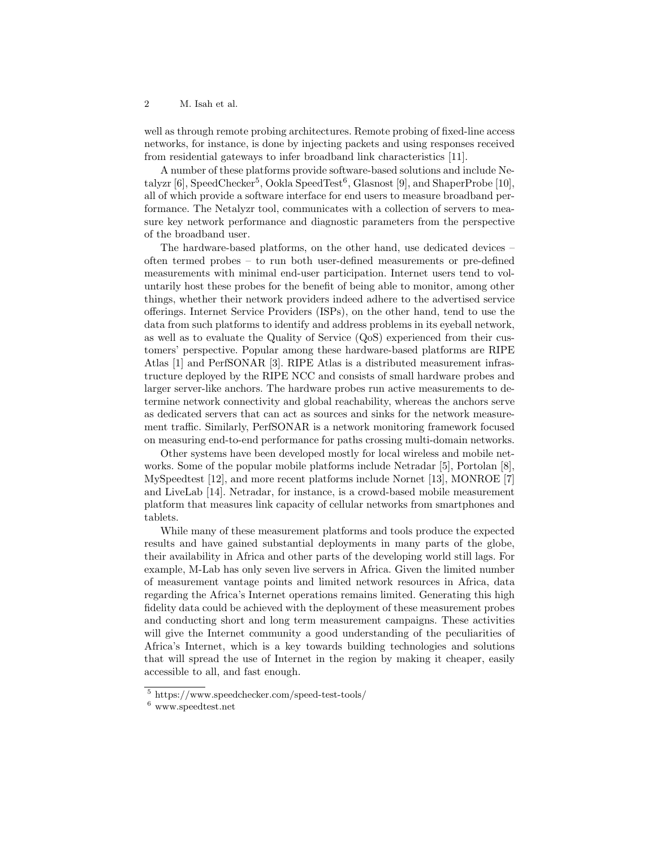well as through remote probing architectures. Remote probing of fixed-line access networks, for instance, is done by injecting packets and using responses received from residential gateways to infer broadband link characteristics [11].

A number of these platforms provide software-based solutions and include Netalyzr [6], SpeedChecker<sup>5</sup>, Ookla SpeedTest<sup>6</sup>, Glasnost [9], and ShaperProbe [10], all of which provide a software interface for end users to measure broadband performance. The Netalyzr tool, communicates with a collection of servers to measure key network performance and diagnostic parameters from the perspective of the broadband user.

The hardware-based platforms, on the other hand, use dedicated devices – often termed probes – to run both user-defined measurements or pre-defined measurements with minimal end-user participation. Internet users tend to voluntarily host these probes for the benefit of being able to monitor, among other things, whether their network providers indeed adhere to the advertised service offerings. Internet Service Providers (ISPs), on the other hand, tend to use the data from such platforms to identify and address problems in its eyeball network, as well as to evaluate the Quality of Service (QoS) experienced from their customers' perspective. Popular among these hardware-based platforms are RIPE Atlas [1] and PerfSONAR [3]. RIPE Atlas is a distributed measurement infrastructure deployed by the RIPE NCC and consists of small hardware probes and larger server-like anchors. The hardware probes run active measurements to determine network connectivity and global reachability, whereas the anchors serve as dedicated servers that can act as sources and sinks for the network measurement traffic. Similarly, PerfSONAR is a network monitoring framework focused on measuring end-to-end performance for paths crossing multi-domain networks.

Other systems have been developed mostly for local wireless and mobile networks. Some of the popular mobile platforms include Netradar [5], Portolan [8], MySpeedtest [12], and more recent platforms include Nornet [13], MONROE [7] and LiveLab [14]. Netradar, for instance, is a crowd-based mobile measurement platform that measures link capacity of cellular networks from smartphones and tablets.

While many of these measurement platforms and tools produce the expected results and have gained substantial deployments in many parts of the globe, their availability in Africa and other parts of the developing world still lags. For example, M-Lab has only seven live servers in Africa. Given the limited number of measurement vantage points and limited network resources in Africa, data regarding the Africa's Internet operations remains limited. Generating this high fidelity data could be achieved with the deployment of these measurement probes and conducting short and long term measurement campaigns. These activities will give the Internet community a good understanding of the peculiarities of Africa's Internet, which is a key towards building technologies and solutions that will spread the use of Internet in the region by making it cheaper, easily accessible to all, and fast enough.

<sup>5</sup> https://www.speedchecker.com/speed-test-tools/

 $6$  www.speedtest.net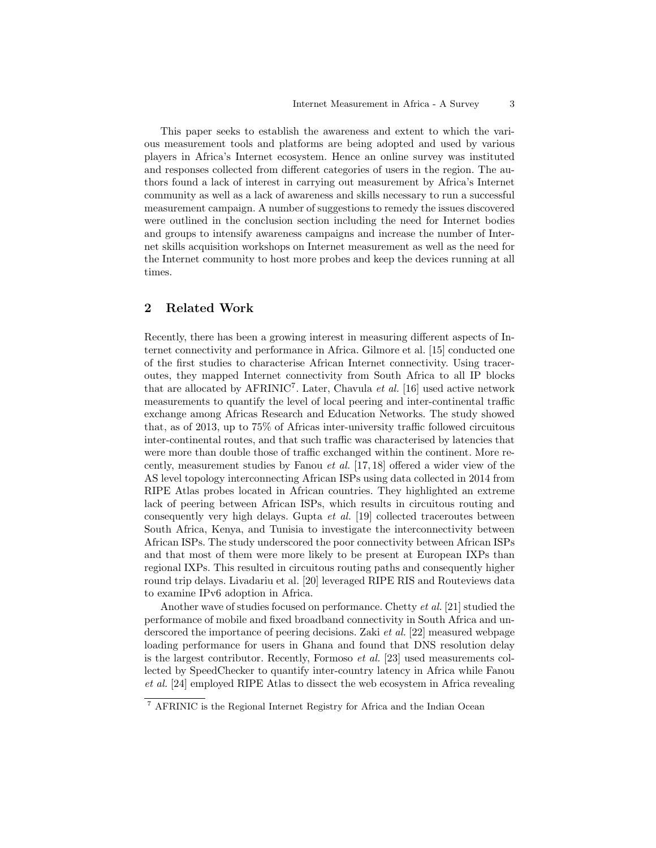This paper seeks to establish the awareness and extent to which the various measurement tools and platforms are being adopted and used by various players in Africa's Internet ecosystem. Hence an online survey was instituted and responses collected from different categories of users in the region. The authors found a lack of interest in carrying out measurement by Africa's Internet community as well as a lack of awareness and skills necessary to run a successful measurement campaign. A number of suggestions to remedy the issues discovered were outlined in the conclusion section including the need for Internet bodies and groups to intensify awareness campaigns and increase the number of Internet skills acquisition workshops on Internet measurement as well as the need for the Internet community to host more probes and keep the devices running at all times.

# 2 Related Work

Recently, there has been a growing interest in measuring different aspects of Internet connectivity and performance in Africa. Gilmore et al. [15] conducted one of the first studies to characterise African Internet connectivity. Using traceroutes, they mapped Internet connectivity from South Africa to all IP blocks that are allocated by  $\text{AFRINIC}^7$ . Later, Chavula *et al.* [16] used active network measurements to quantify the level of local peering and inter-continental traffic exchange among Africas Research and Education Networks. The study showed that, as of 2013, up to 75% of Africas inter-university traffic followed circuitous inter-continental routes, and that such traffic was characterised by latencies that were more than double those of traffic exchanged within the continent. More recently, measurement studies by Fanou et al. [17, 18] offered a wider view of the AS level topology interconnecting African ISPs using data collected in 2014 from RIPE Atlas probes located in African countries. They highlighted an extreme lack of peering between African ISPs, which results in circuitous routing and consequently very high delays. Gupta et al. [19] collected traceroutes between South Africa, Kenya, and Tunisia to investigate the interconnectivity between African ISPs. The study underscored the poor connectivity between African ISPs and that most of them were more likely to be present at European IXPs than regional IXPs. This resulted in circuitous routing paths and consequently higher round trip delays. Livadariu et al. [20] leveraged RIPE RIS and Routeviews data to examine IPv6 adoption in Africa.

Another wave of studies focused on performance. Chetty et al. [21] studied the performance of mobile and fixed broadband connectivity in South Africa and underscored the importance of peering decisions. Zaki et al. [22] measured webpage loading performance for users in Ghana and found that DNS resolution delay is the largest contributor. Recently, Formoso et al. [23] used measurements collected by SpeedChecker to quantify inter-country latency in Africa while Fanou et al. [24] employed RIPE Atlas to dissect the web ecosystem in Africa revealing

<sup>7</sup> AFRINIC is the Regional Internet Registry for Africa and the Indian Ocean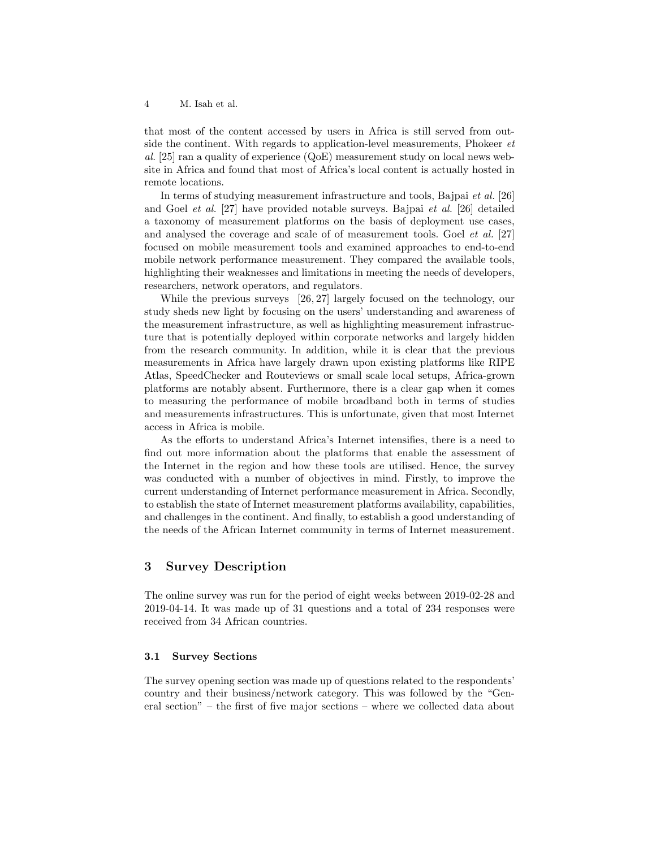that most of the content accessed by users in Africa is still served from outside the continent. With regards to application-level measurements, Phokeer et al. [25] ran a quality of experience (QoE) measurement study on local news website in Africa and found that most of Africa's local content is actually hosted in remote locations.

In terms of studying measurement infrastructure and tools, Bajpai et al. [26] and Goel et al. [27] have provided notable surveys. Bajpai et al. [26] detailed a taxonomy of measurement platforms on the basis of deployment use cases, and analysed the coverage and scale of of measurement tools. Goel et al. [27] focused on mobile measurement tools and examined approaches to end-to-end mobile network performance measurement. They compared the available tools, highlighting their weaknesses and limitations in meeting the needs of developers, researchers, network operators, and regulators.

While the previous surveys [26, 27] largely focused on the technology, our study sheds new light by focusing on the users' understanding and awareness of the measurement infrastructure, as well as highlighting measurement infrastructure that is potentially deployed within corporate networks and largely hidden from the research community. In addition, while it is clear that the previous measurements in Africa have largely drawn upon existing platforms like RIPE Atlas, SpeedChecker and Routeviews or small scale local setups, Africa-grown platforms are notably absent. Furthermore, there is a clear gap when it comes to measuring the performance of mobile broadband both in terms of studies and measurements infrastructures. This is unfortunate, given that most Internet access in Africa is mobile.

As the efforts to understand Africa's Internet intensifies, there is a need to find out more information about the platforms that enable the assessment of the Internet in the region and how these tools are utilised. Hence, the survey was conducted with a number of objectives in mind. Firstly, to improve the current understanding of Internet performance measurement in Africa. Secondly, to establish the state of Internet measurement platforms availability, capabilities, and challenges in the continent. And finally, to establish a good understanding of the needs of the African Internet community in terms of Internet measurement.

# 3 Survey Description

The online survey was run for the period of eight weeks between 2019-02-28 and 2019-04-14. It was made up of 31 questions and a total of 234 responses were received from 34 African countries.

#### 3.1 Survey Sections

The survey opening section was made up of questions related to the respondents' country and their business/network category. This was followed by the "General section" – the first of five major sections – where we collected data about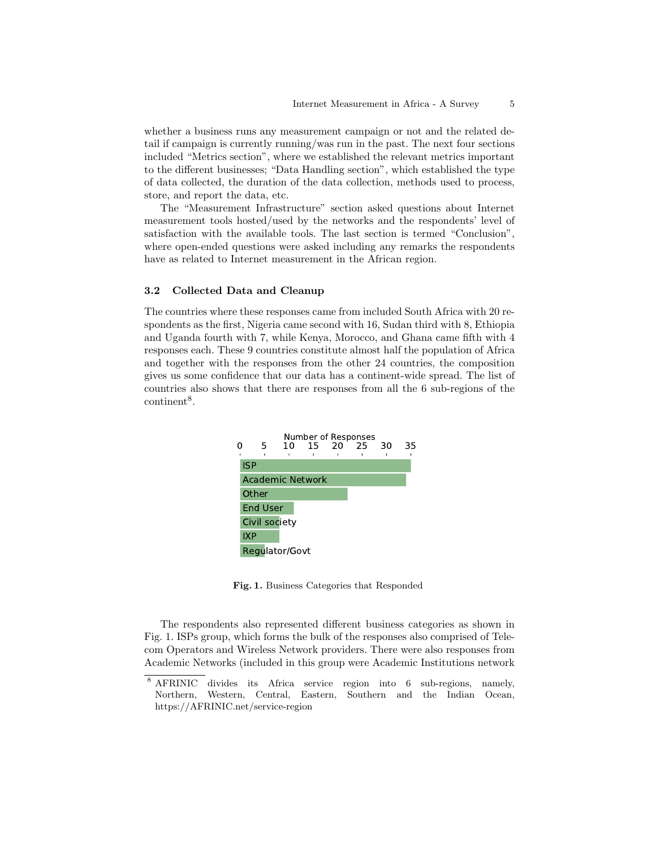whether a business runs any measurement campaign or not and the related detail if campaign is currently running/was run in the past. The next four sections included "Metrics section", where we established the relevant metrics important to the different businesses; "Data Handling section", which established the type of data collected, the duration of the data collection, methods used to process, store, and report the data, etc.

The "Measurement Infrastructure" section asked questions about Internet measurement tools hosted/used by the networks and the respondents' level of satisfaction with the available tools. The last section is termed "Conclusion", where open-ended questions were asked including any remarks the respondents have as related to Internet measurement in the African region.

#### 3.2 Collected Data and Cleanup

The countries where these responses came from included South Africa with 20 respondents as the first, Nigeria came second with 16, Sudan third with 8, Ethiopia and Uganda fourth with 7, while Kenya, Morocco, and Ghana came fifth with 4 responses each. These 9 countries constitute almost half the population of Africa and together with the responses from the other 24 countries, the composition gives us some confidence that our data has a continent-wide spread. The list of countries also shows that there are responses from all the 6 sub-regions of the continent<sup>8</sup>.



Fig. 1. Business Categories that Responded

The respondents also represented different business categories as shown in Fig. 1. ISPs group, which forms the bulk of the responses also comprised of Telecom Operators and Wireless Network providers. There were also responses from Academic Networks (included in this group were Academic Institutions network

<sup>8</sup> AFRINIC divides its Africa service region into 6 sub-regions, namely, Northern, Western, Central, Eastern, Southern and the Indian Ocean, https://AFRINIC.net/service-region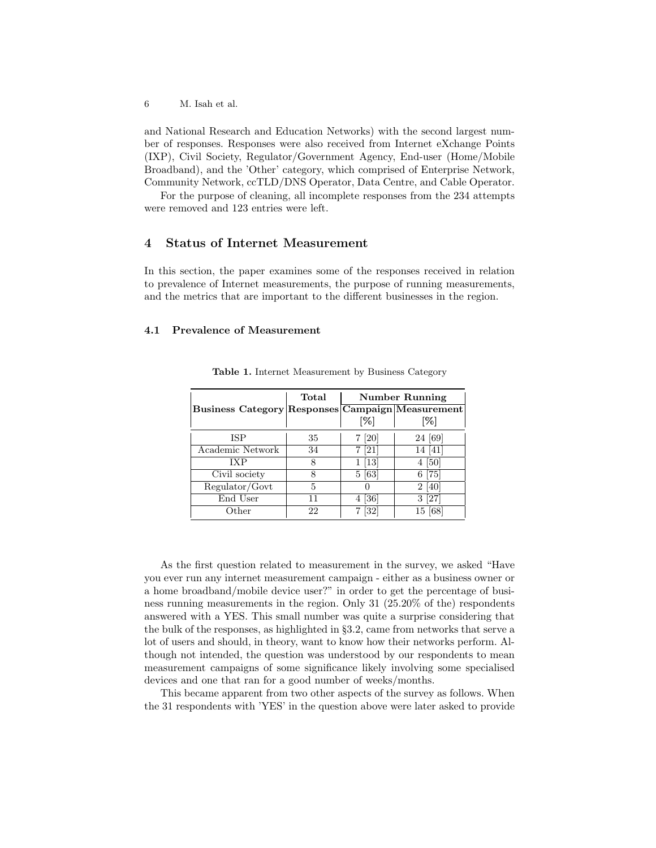and National Research and Education Networks) with the second largest number of responses. Responses were also received from Internet eXchange Points (IXP), Civil Society, Regulator/Government Agency, End-user (Home/Mobile Broadband), and the 'Other' category, which comprised of Enterprise Network, Community Network, ccTLD/DNS Operator, Data Centre, and Cable Operator.

For the purpose of cleaning, all incomplete responses from the 234 attempts were removed and 123 entries were left.

### 4 Status of Internet Measurement

In this section, the paper examines some of the responses received in relation to prevalence of Internet measurements, the purpose of running measurements, and the metrics that are important to the different businesses in the region.

### 4.1 Prevalence of Measurement

|                                                  | Total | <b>Number Running</b> |            |  |  |
|--------------------------------------------------|-------|-----------------------|------------|--|--|
| Business Category Responses Campaign Measurement |       |                       |            |  |  |
|                                                  |       | [%]                   | [%]        |  |  |
| <b>ISP</b>                                       | 35    | 7[20]                 | 24 [69]    |  |  |
| Academic Network                                 | 34    | 7[21]                 | 14 [41]    |  |  |
| IXP                                              | 8     | 1[13]                 | 4[50]      |  |  |
| Civil society                                    | 8     | 5[63]                 | 6[75]      |  |  |
| Regulator/Govt                                   | 5     |                       | 2[40]      |  |  |
| End User                                         | 11    | 36 <br>4              | [27]<br>3. |  |  |
| $\alpha$ ther                                    | 22    | 32                    | 15         |  |  |

Table 1. Internet Measurement by Business Category

As the first question related to measurement in the survey, we asked "Have you ever run any internet measurement campaign - either as a business owner or a home broadband/mobile device user?" in order to get the percentage of business running measurements in the region. Only 31 (25.20% of the) respondents answered with a YES. This small number was quite a surprise considering that the bulk of the responses, as highlighted in §3.2, came from networks that serve a lot of users and should, in theory, want to know how their networks perform. Although not intended, the question was understood by our respondents to mean measurement campaigns of some significance likely involving some specialised devices and one that ran for a good number of weeks/months.

This became apparent from two other aspects of the survey as follows. When the 31 respondents with 'YES' in the question above were later asked to provide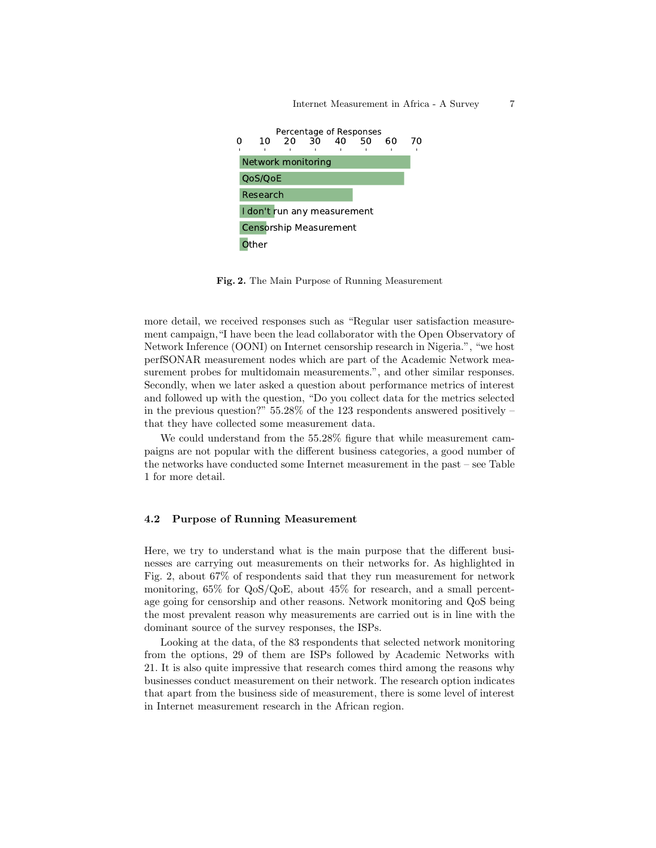

Fig. 2. The Main Purpose of Running Measurement

more detail, we received responses such as "Regular user satisfaction measurement campaign,"I have been the lead collaborator with the Open Observatory of Network Inference (OONI) on Internet censorship research in Nigeria.", "we host perfSONAR measurement nodes which are part of the Academic Network measurement probes for multidomain measurements.", and other similar responses. Secondly, when we later asked a question about performance metrics of interest and followed up with the question, "Do you collect data for the metrics selected in the previous question?" 55.28% of the 123 respondents answered positively – that they have collected some measurement data.

We could understand from the 55.28% figure that while measurement campaigns are not popular with the different business categories, a good number of the networks have conducted some Internet measurement in the past – see Table 1 for more detail.

### 4.2 Purpose of Running Measurement

Here, we try to understand what is the main purpose that the different businesses are carrying out measurements on their networks for. As highlighted in Fig. 2, about 67% of respondents said that they run measurement for network monitoring, 65% for QoS/QoE, about 45% for research, and a small percentage going for censorship and other reasons. Network monitoring and QoS being the most prevalent reason why measurements are carried out is in line with the dominant source of the survey responses, the ISPs.

Looking at the data, of the 83 respondents that selected network monitoring from the options, 29 of them are ISPs followed by Academic Networks with 21. It is also quite impressive that research comes third among the reasons why businesses conduct measurement on their network. The research option indicates that apart from the business side of measurement, there is some level of interest in Internet measurement research in the African region.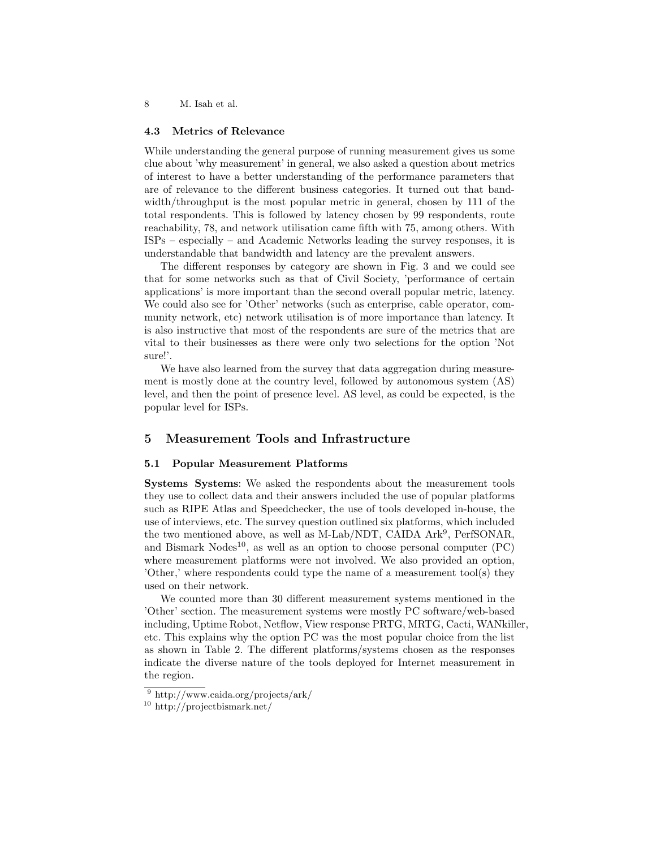#### 4.3 Metrics of Relevance

While understanding the general purpose of running measurement gives us some clue about 'why measurement' in general, we also asked a question about metrics of interest to have a better understanding of the performance parameters that are of relevance to the different business categories. It turned out that bandwidth/throughput is the most popular metric in general, chosen by 111 of the total respondents. This is followed by latency chosen by 99 respondents, route reachability, 78, and network utilisation came fifth with 75, among others. With ISPs – especially – and Academic Networks leading the survey responses, it is understandable that bandwidth and latency are the prevalent answers.

The different responses by category are shown in Fig. 3 and we could see that for some networks such as that of Civil Society, 'performance of certain applications' is more important than the second overall popular metric, latency. We could also see for 'Other' networks (such as enterprise, cable operator, community network, etc) network utilisation is of more importance than latency. It is also instructive that most of the respondents are sure of the metrics that are vital to their businesses as there were only two selections for the option 'Not sure!'.

We have also learned from the survey that data aggregation during measurement is mostly done at the country level, followed by autonomous system (AS) level, and then the point of presence level. AS level, as could be expected, is the popular level for ISPs.

# 5 Measurement Tools and Infrastructure

#### 5.1 Popular Measurement Platforms

Systems Systems: We asked the respondents about the measurement tools they use to collect data and their answers included the use of popular platforms such as RIPE Atlas and Speedchecker, the use of tools developed in-house, the use of interviews, etc. The survey question outlined six platforms, which included the two mentioned above, as well as M-Lab/NDT, CAIDA Ark<sup>9</sup>, PerfSONAR, and Bismark Nodes<sup>10</sup>, as well as an option to choose personal computer  $(PC)$ where measurement platforms were not involved. We also provided an option, 'Other,' where respondents could type the name of a measurement tool(s) they used on their network.

We counted more than 30 different measurement systems mentioned in the 'Other' section. The measurement systems were mostly PC software/web-based including, Uptime Robot, Netflow, View response PRTG, MRTG, Cacti, WANkiller, etc. This explains why the option PC was the most popular choice from the list as shown in Table 2. The different platforms/systems chosen as the responses indicate the diverse nature of the tools deployed for Internet measurement in the region.

<sup>9</sup> http://www.caida.org/projects/ark/

<sup>10</sup> http://projectbismark.net/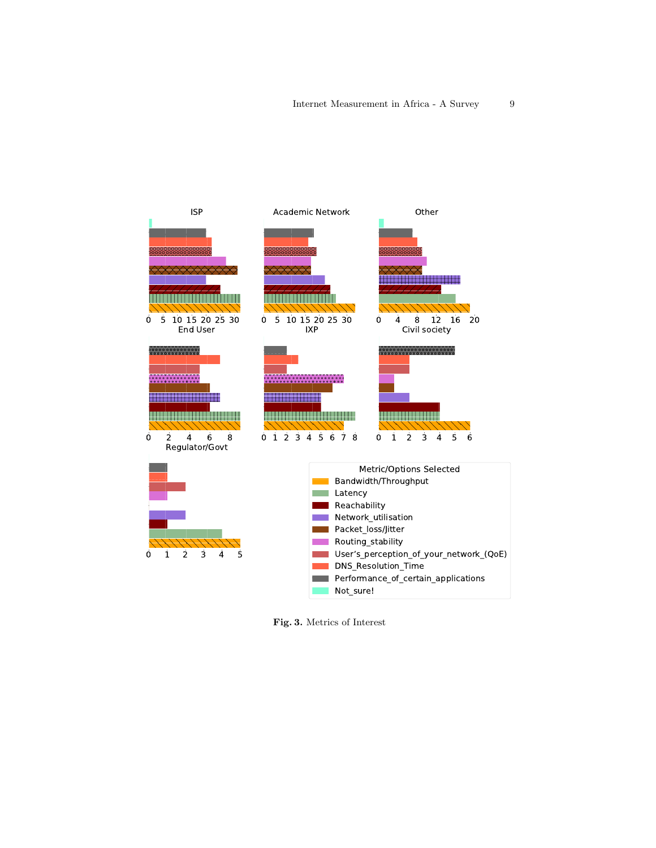

Fig. 3. Metrics of Interest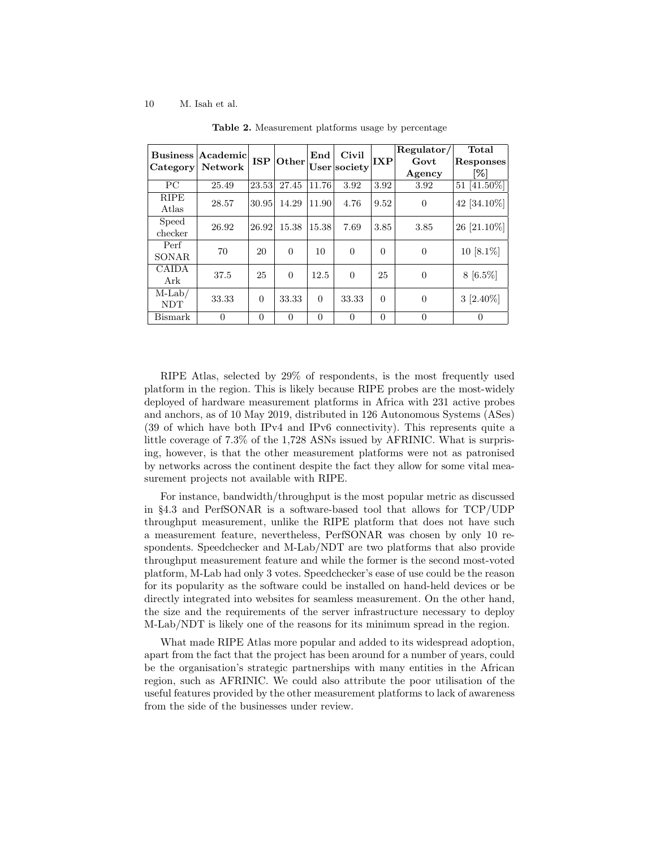| <b>Business</b><br>Category | Academic<br>Network | <b>ISP</b>     | Other    | End      | Civil<br>User society | <b>IXP</b> | Regulator/<br>Govt<br>Agency | Total<br>Responses<br>[%] |
|-----------------------------|---------------------|----------------|----------|----------|-----------------------|------------|------------------------------|---------------------------|
| PC                          | 25.49               | 23.53          | 27.45    | 11.76    | 3.92                  | 3.92       | 3.92                         | 51 [41.50%]               |
| <b>RIPE</b><br>Atlas        | 28.57               | 30.95          | 14.29    | 11.90    | 4.76                  | 9.52       | $\overline{0}$               | 42 [34.10%]               |
| Speed<br>checker            | 26.92               | 26.92          | 15.38    | 15.38    | 7.69                  | 3.85       | 3.85                         | 26 [21.10\%]              |
| Perf<br><b>SONAR</b>        | 70                  | 20             | $\Omega$ | 10       | $\Omega$              | $\Omega$   | $\Omega$                     | 10 [8.1\%]                |
| <b>CAIDA</b><br>Ark         | 37.5                | 25             | $\Omega$ | 12.5     | $\overline{0}$        | 25         | $\theta$                     | $8[6.5\%]$                |
| $M-Lab/$<br><b>NDT</b>      | 33.33               | $\Omega$       | 33.33    | $\Omega$ | 33.33                 | $\Omega$   | $\Omega$                     | $3 [2.40\%]$              |
| <b>Bismark</b>              | $\overline{0}$      | $\overline{0}$ | $\theta$ | $\Omega$ | $\overline{0}$        | $\Omega$   | $\Omega$                     | $\Omega$                  |

Table 2. Measurement platforms usage by percentage

RIPE Atlas, selected by 29% of respondents, is the most frequently used platform in the region. This is likely because RIPE probes are the most-widely deployed of hardware measurement platforms in Africa with 231 active probes and anchors, as of 10 May 2019, distributed in 126 Autonomous Systems (ASes) (39 of which have both IPv4 and IPv6 connectivity). This represents quite a little coverage of 7.3% of the 1,728 ASNs issued by AFRINIC. What is surprising, however, is that the other measurement platforms were not as patronised by networks across the continent despite the fact they allow for some vital measurement projects not available with RIPE.

For instance, bandwidth/throughput is the most popular metric as discussed in §4.3 and PerfSONAR is a software-based tool that allows for TCP/UDP throughput measurement, unlike the RIPE platform that does not have such a measurement feature, nevertheless, PerfSONAR was chosen by only 10 respondents. Speedchecker and M-Lab/NDT are two platforms that also provide throughput measurement feature and while the former is the second most-voted platform, M-Lab had only 3 votes. Speedchecker's ease of use could be the reason for its popularity as the software could be installed on hand-held devices or be directly integrated into websites for seamless measurement. On the other hand, the size and the requirements of the server infrastructure necessary to deploy M-Lab/NDT is likely one of the reasons for its minimum spread in the region.

What made RIPE Atlas more popular and added to its widespread adoption, apart from the fact that the project has been around for a number of years, could be the organisation's strategic partnerships with many entities in the African region, such as AFRINIC. We could also attribute the poor utilisation of the useful features provided by the other measurement platforms to lack of awareness from the side of the businesses under review.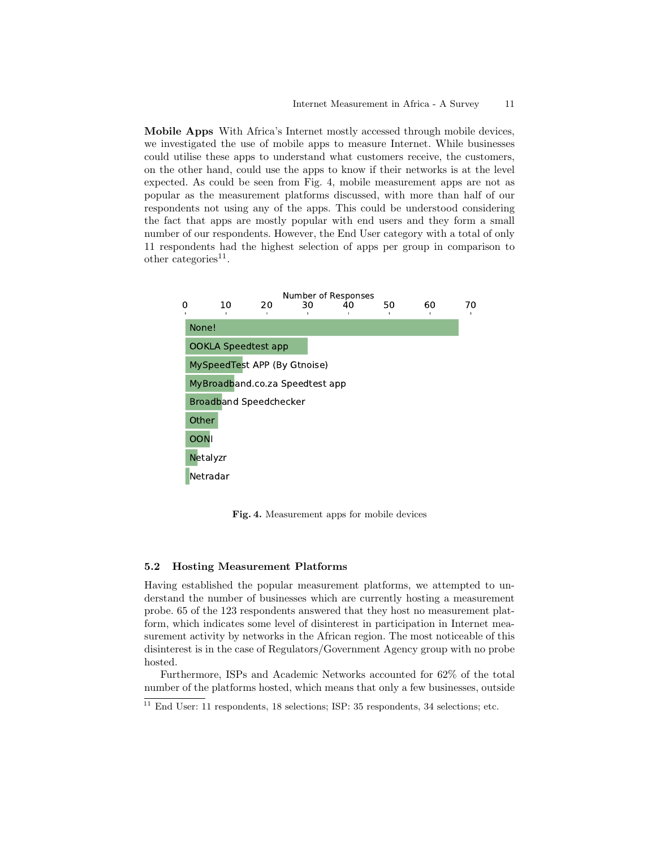Mobile Apps With Africa's Internet mostly accessed through mobile devices, we investigated the use of mobile apps to measure Internet. While businesses could utilise these apps to understand what customers receive, the customers, on the other hand, could use the apps to know if their networks is at the level expected. As could be seen from Fig. 4, mobile measurement apps are not as popular as the measurement platforms discussed, with more than half of our respondents not using any of the apps. This could be understood considering the fact that apps are mostly popular with end users and they form a small number of our respondents. However, the End User category with a total of only 11 respondents had the highest selection of apps per group in comparison to other categories<sup>11</sup>.



Fig. 4. Measurement apps for mobile devices

#### 5.2 Hosting Measurement Platforms

Having established the popular measurement platforms, we attempted to understand the number of businesses which are currently hosting a measurement probe. 65 of the 123 respondents answered that they host no measurement platform, which indicates some level of disinterest in participation in Internet measurement activity by networks in the African region. The most noticeable of this disinterest is in the case of Regulators/Government Agency group with no probe hosted.

Furthermore, ISPs and Academic Networks accounted for 62% of the total number of the platforms hosted, which means that only a few businesses, outside

 $\overline{^{11}}$  End User: 11 respondents, 18 selections; ISP: 35 respondents, 34 selections; etc.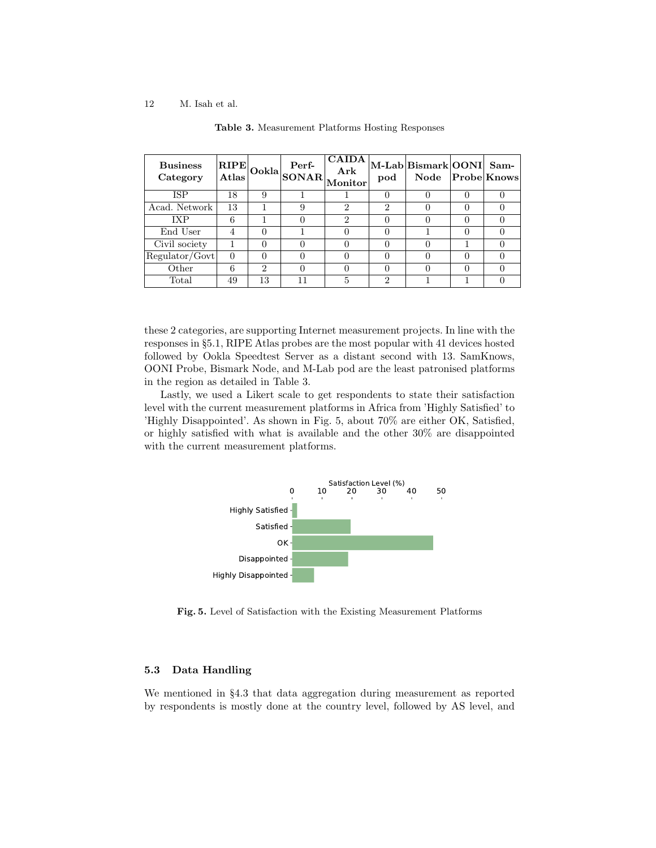| <b>Business</b><br>Category | RIPE<br><b>Atlas</b> |    | Perf-<br>$\sim  \text{Ookla} \text{SONAR} $ | <b>CAIDA</b><br>Ark<br>Monitor | pod          | M-Lab Bismark OONI Sam-<br>Node |   | $ {\rm ProbelKnows} $ |
|-----------------------------|----------------------|----|---------------------------------------------|--------------------------------|--------------|---------------------------------|---|-----------------------|
| <b>ISP</b>                  | 18                   | 9  |                                             |                                | 0            | 0                               | 0 |                       |
| Acad. Network               | 13                   |    | 9                                           | $\overline{2}$                 | 2            |                                 | 0 |                       |
| <b>IXP</b>                  | 6                    |    |                                             | 2                              |              |                                 |   |                       |
| End User                    | 4                    | 0  |                                             | 0                              |              |                                 | 0 |                       |
| Civil society               |                      | 0  |                                             |                                | $\mathbf{0}$ |                                 |   |                       |
| Regulator/Govt              | $\Omega$             |    |                                             |                                | ∩            |                                 | 0 |                       |
| Other                       | 6                    | 2  |                                             | 0                              |              | 0                               | 0 |                       |
| Total                       | 49                   | 13 |                                             | 5                              | 2            |                                 |   |                       |

Table 3. Measurement Platforms Hosting Responses

these 2 categories, are supporting Internet measurement projects. In line with the responses in §5.1, RIPE Atlas probes are the most popular with 41 devices hosted followed by Ookla Speedtest Server as a distant second with 13. SamKnows, OONI Probe, Bismark Node, and M-Lab pod are the least patronised platforms in the region as detailed in Table 3.

Lastly, we used a Likert scale to get respondents to state their satisfaction level with the current measurement platforms in Africa from 'Highly Satisfied' to 'Highly Disappointed'. As shown in Fig. 5, about 70% are either OK, Satisfied, or highly satisfied with what is available and the other 30% are disappointed with the current measurement platforms.



Fig. 5. Level of Satisfaction with the Existing Measurement Platforms

### 5.3 Data Handling

We mentioned in §4.3 that data aggregation during measurement as reported by respondents is mostly done at the country level, followed by AS level, and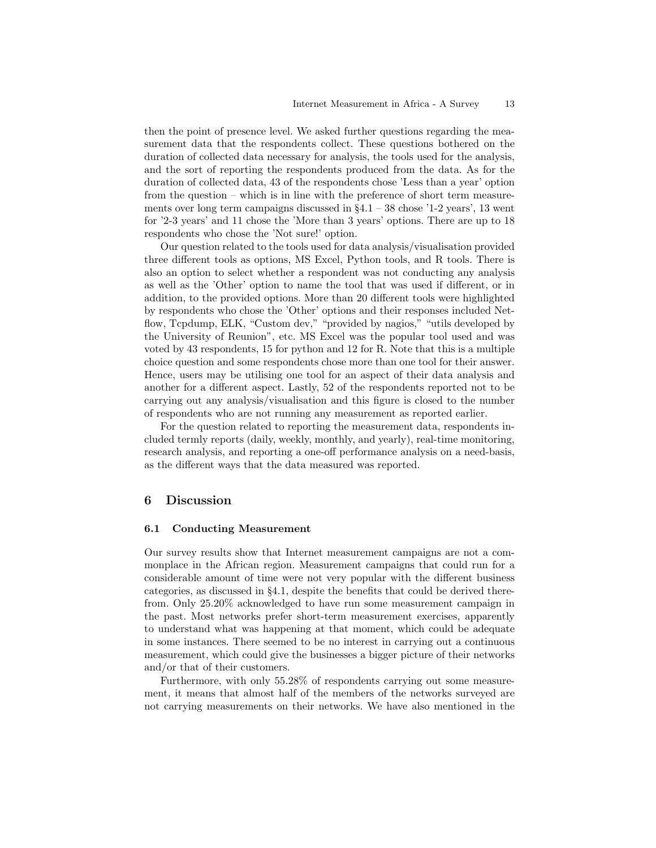then the point of presence level. We asked further questions regarding the measurement data that the respondents collect. These questions bothered on the duration of collected data necessary for analysis, the tools used for the analysis, and the sort of reporting the respondents produced from the data. As for the duration of collected data, 43 of the respondents chose 'Less than a year' option from the question – which is in line with the preference of short term measurements over long term campaigns discussed in  $\S 4.1 - 38$  chose '1-2 years', 13 went for '2-3 years' and 11 chose the 'More than 3 years' options. There are up to 18 respondents who chose the 'Not sure!' option.

Our question related to the tools used for data analysis/visualisation provided three different tools as options, MS Excel, Python tools, and R tools. There is also an option to select whether a respondent was not conducting any analysis as well as the 'Other' option to name the tool that was used if different, or in addition, to the provided options. More than 20 different tools were highlighted by respondents who chose the 'Other' options and their responses included Netflow, Tcpdump, ELK, "Custom dev," "provided by nagios," "utils developed by the University of Reunion", etc. MS Excel was the popular tool used and was voted by 43 respondents, 15 for python and 12 for R. Note that this is a multiple choice question and some respondents chose more than one tool for their answer. Hence, users may be utilising one tool for an aspect of their data analysis and another for a different aspect. Lastly, 52 of the respondents reported not to be carrying out any analysis/visualisation and this figure is closed to the number of respondents who are not running any measurement as reported earlier.

For the question related to reporting the measurement data, respondents included termly reports (daily, weekly, monthly, and yearly), real-time monitoring, research analysis, and reporting a one-off performance analysis on a need-basis, as the different ways that the data measured was reported.

### 6 Discussion

#### 6.1 Conducting Measurement

Our survey results show that Internet measurement campaigns are not a commonplace in the African region. Measurement campaigns that could run for a considerable amount of time were not very popular with the different business categories, as discussed in §4.1, despite the benefits that could be derived therefrom. Only 25.20% acknowledged to have run some measurement campaign in the past. Most networks prefer short-term measurement exercises, apparently to understand what was happening at that moment, which could be adequate in some instances. There seemed to be no interest in carrying out a continuous measurement, which could give the businesses a bigger picture of their networks and/or that of their customers.

Furthermore, with only 55.28% of respondents carrying out some measurement, it means that almost half of the members of the networks surveyed are not carrying measurements on their networks. We have also mentioned in the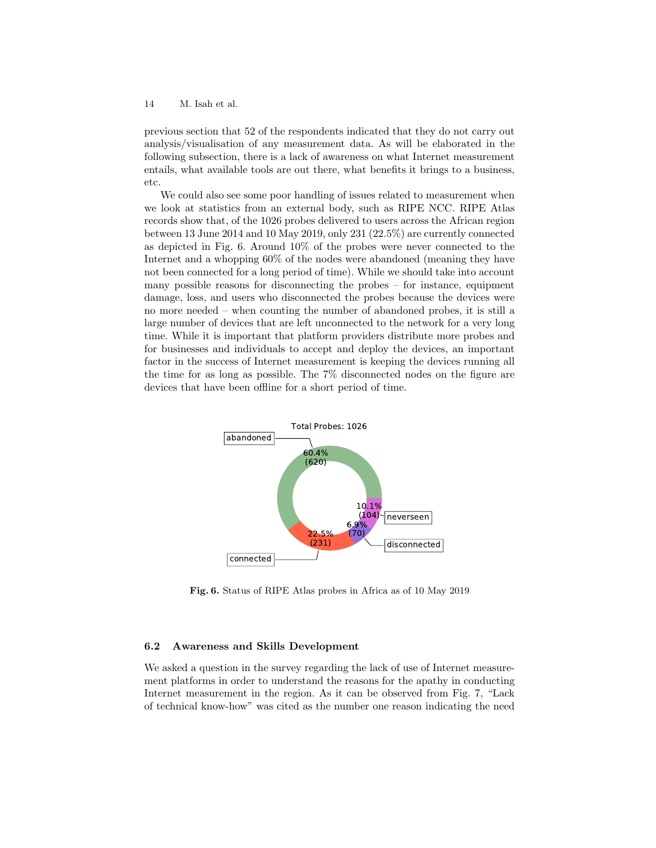previous section that 52 of the respondents indicated that they do not carry out analysis/visualisation of any measurement data. As will be elaborated in the following subsection, there is a lack of awareness on what Internet measurement entails, what available tools are out there, what benefits it brings to a business, etc.

We could also see some poor handling of issues related to measurement when we look at statistics from an external body, such as RIPE NCC. RIPE Atlas records show that, of the 1026 probes delivered to users across the African region between 13 June 2014 and 10 May 2019, only 231 (22.5%) are currently connected as depicted in Fig. 6. Around 10% of the probes were never connected to the Internet and a whopping 60% of the nodes were abandoned (meaning they have not been connected for a long period of time). While we should take into account many possible reasons for disconnecting the probes – for instance, equipment damage, loss, and users who disconnected the probes because the devices were no more needed – when counting the number of abandoned probes, it is still a large number of devices that are left unconnected to the network for a very long time. While it is important that platform providers distribute more probes and for businesses and individuals to accept and deploy the devices, an important factor in the success of Internet measurement is keeping the devices running all the time for as long as possible. The 7% disconnected nodes on the figure are devices that have been offline for a short period of time.



Fig. 6. Status of RIPE Atlas probes in Africa as of 10 May 2019

#### 6.2 Awareness and Skills Development

We asked a question in the survey regarding the lack of use of Internet measurement platforms in order to understand the reasons for the apathy in conducting Internet measurement in the region. As it can be observed from Fig. 7, "Lack of technical know-how" was cited as the number one reason indicating the need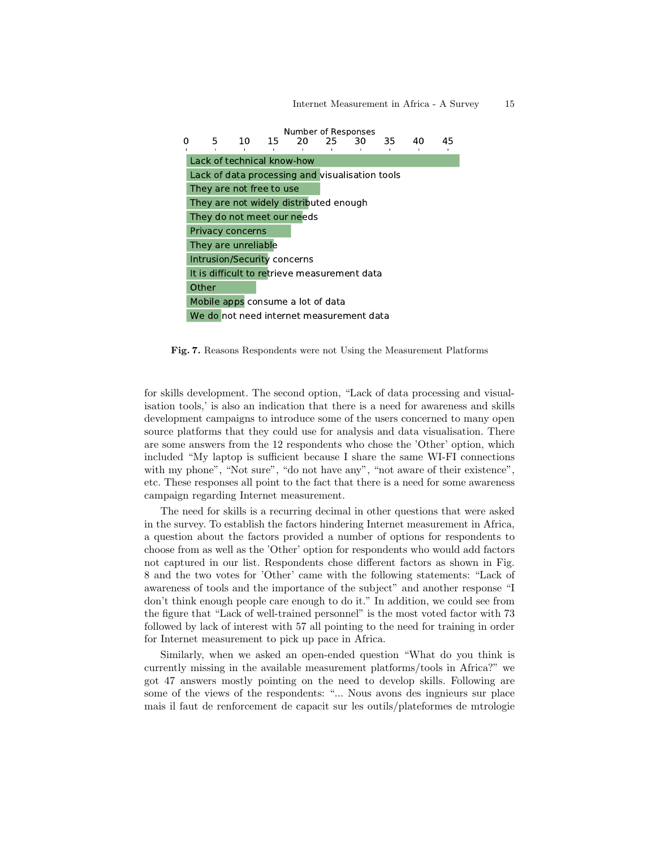

Fig. 7. Reasons Respondents were not Using the Measurement Platforms

for skills development. The second option, "Lack of data processing and visualisation tools,' is also an indication that there is a need for awareness and skills development campaigns to introduce some of the users concerned to many open source platforms that they could use for analysis and data visualisation. There are some answers from the 12 respondents who chose the 'Other' option, which included "My laptop is sufficient because I share the same WI-FI connections with my phone", "Not sure", "do not have any", "not aware of their existence", etc. These responses all point to the fact that there is a need for some awareness campaign regarding Internet measurement.

The need for skills is a recurring decimal in other questions that were asked in the survey. To establish the factors hindering Internet measurement in Africa, a question about the factors provided a number of options for respondents to choose from as well as the 'Other' option for respondents who would add factors not captured in our list. Respondents chose different factors as shown in Fig. 8 and the two votes for 'Other' came with the following statements: "Lack of awareness of tools and the importance of the subject" and another response "I don't think enough people care enough to do it." In addition, we could see from the figure that "Lack of well-trained personnel" is the most voted factor with 73 followed by lack of interest with 57 all pointing to the need for training in order for Internet measurement to pick up pace in Africa.

Similarly, when we asked an open-ended question "What do you think is currently missing in the available measurement platforms/tools in Africa?" we got 47 answers mostly pointing on the need to develop skills. Following are some of the views of the respondents: "... Nous avons des ingnieurs sur place mais il faut de renforcement de capacit sur les outils/plateformes de mtrologie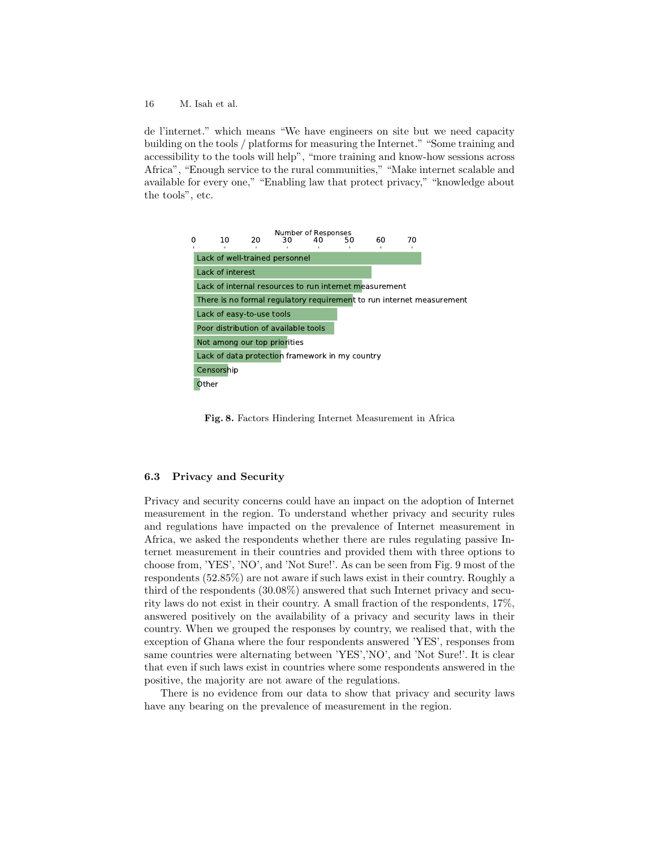de l'internet." which means "We have engineers on site but we need capacity building on the tools / platforms for measuring the Internet." "Some training and accessibility to the tools will help", "more training and know-how sessions across Africa", "Enough service to the rural communities," "Make internet scalable and available for every one," "Enabling law that protect privacy," "knowledge about the tools", etc.



Fig. 8. Factors Hindering Internet Measurement in Africa

### 6.3 Privacy and Security

Privacy and security concerns could have an impact on the adoption of Internet measurement in the region. To understand whether privacy and security rules and regulations have impacted on the prevalence of Internet measurement in Africa, we asked the respondents whether there are rules regulating passive Internet measurement in their countries and provided them with three options to choose from, 'YES', 'NO', and 'Not Sure!'. As can be seen from Fig. 9 most of the respondents (52.85%) are not aware if such laws exist in their country. Roughly a third of the respondents (30.08%) answered that such Internet privacy and security laws do not exist in their country. A small fraction of the respondents, 17%, answered positively on the availability of a privacy and security laws in their country. When we grouped the responses by country, we realised that, with the exception of Ghana where the four respondents answered 'YES', responses from same countries were alternating between 'YES','NO', and 'Not Sure!'. It is clear that even if such laws exist in countries where some respondents answered in the positive, the majority are not aware of the regulations.

There is no evidence from our data to show that privacy and security laws have any bearing on the prevalence of measurement in the region.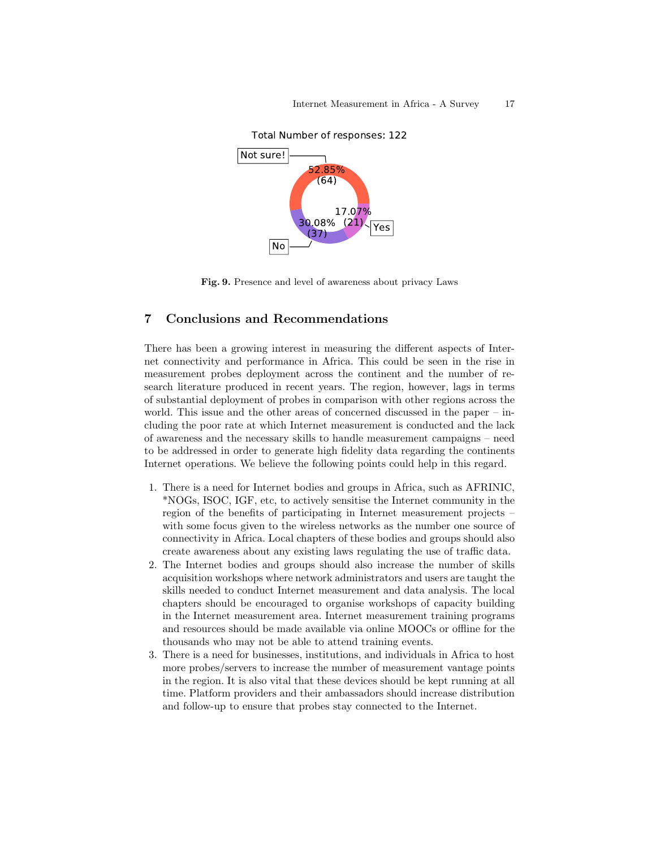

Fig. 9. Presence and level of awareness about privacy Laws

# 7 Conclusions and Recommendations

There has been a growing interest in measuring the different aspects of Internet connectivity and performance in Africa. This could be seen in the rise in measurement probes deployment across the continent and the number of research literature produced in recent years. The region, however, lags in terms of substantial deployment of probes in comparison with other regions across the world. This issue and the other areas of concerned discussed in the paper – including the poor rate at which Internet measurement is conducted and the lack of awareness and the necessary skills to handle measurement campaigns – need to be addressed in order to generate high fidelity data regarding the continents Internet operations. We believe the following points could help in this regard.

- 1. There is a need for Internet bodies and groups in Africa, such as AFRINIC, \*NOGs, ISOC, IGF, etc, to actively sensitise the Internet community in the region of the benefits of participating in Internet measurement projects – with some focus given to the wireless networks as the number one source of connectivity in Africa. Local chapters of these bodies and groups should also create awareness about any existing laws regulating the use of traffic data.
- 2. The Internet bodies and groups should also increase the number of skills acquisition workshops where network administrators and users are taught the skills needed to conduct Internet measurement and data analysis. The local chapters should be encouraged to organise workshops of capacity building in the Internet measurement area. Internet measurement training programs and resources should be made available via online MOOCs or offline for the thousands who may not be able to attend training events.
- 3. There is a need for businesses, institutions, and individuals in Africa to host more probes/servers to increase the number of measurement vantage points in the region. It is also vital that these devices should be kept running at all time. Platform providers and their ambassadors should increase distribution and follow-up to ensure that probes stay connected to the Internet.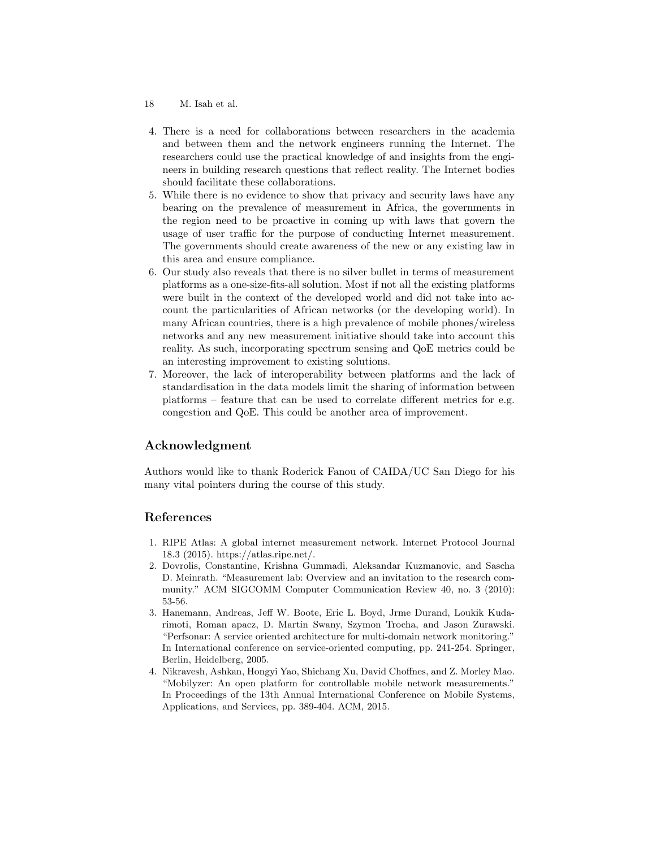- 18 M. Isah et al.
- 4. There is a need for collaborations between researchers in the academia and between them and the network engineers running the Internet. The researchers could use the practical knowledge of and insights from the engineers in building research questions that reflect reality. The Internet bodies should facilitate these collaborations.
- 5. While there is no evidence to show that privacy and security laws have any bearing on the prevalence of measurement in Africa, the governments in the region need to be proactive in coming up with laws that govern the usage of user traffic for the purpose of conducting Internet measurement. The governments should create awareness of the new or any existing law in this area and ensure compliance.
- 6. Our study also reveals that there is no silver bullet in terms of measurement platforms as a one-size-fits-all solution. Most if not all the existing platforms were built in the context of the developed world and did not take into account the particularities of African networks (or the developing world). In many African countries, there is a high prevalence of mobile phones/wireless networks and any new measurement initiative should take into account this reality. As such, incorporating spectrum sensing and QoE metrics could be an interesting improvement to existing solutions.
- 7. Moreover, the lack of interoperability between platforms and the lack of standardisation in the data models limit the sharing of information between platforms – feature that can be used to correlate different metrics for e.g. congestion and QoE. This could be another area of improvement.

# Acknowledgment

Authors would like to thank Roderick Fanou of CAIDA/UC San Diego for his many vital pointers during the course of this study.

# References

- 1. RIPE Atlas: A global internet measurement network. Internet Protocol Journal 18.3 (2015). https://atlas.ripe.net/.
- 2. Dovrolis, Constantine, Krishna Gummadi, Aleksandar Kuzmanovic, and Sascha D. Meinrath. "Measurement lab: Overview and an invitation to the research community." ACM SIGCOMM Computer Communication Review 40, no. 3 (2010): 53-56.
- 3. Hanemann, Andreas, Jeff W. Boote, Eric L. Boyd, Jrme Durand, Loukik Kudarimoti, Roman apacz, D. Martin Swany, Szymon Trocha, and Jason Zurawski. "Perfsonar: A service oriented architecture for multi-domain network monitoring." In International conference on service-oriented computing, pp. 241-254. Springer, Berlin, Heidelberg, 2005.
- 4. Nikravesh, Ashkan, Hongyi Yao, Shichang Xu, David Choffnes, and Z. Morley Mao. "Mobilyzer: An open platform for controllable mobile network measurements." In Proceedings of the 13th Annual International Conference on Mobile Systems, Applications, and Services, pp. 389-404. ACM, 2015.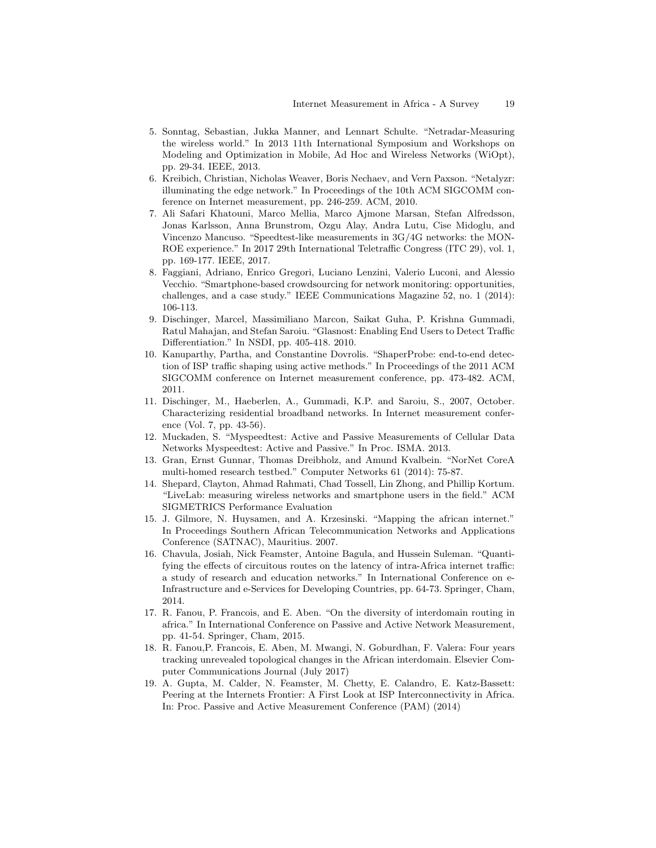- 5. Sonntag, Sebastian, Jukka Manner, and Lennart Schulte. "Netradar-Measuring the wireless world." In 2013 11th International Symposium and Workshops on Modeling and Optimization in Mobile, Ad Hoc and Wireless Networks (WiOpt), pp. 29-34. IEEE, 2013.
- 6. Kreibich, Christian, Nicholas Weaver, Boris Nechaev, and Vern Paxson. "Netalyzr: illuminating the edge network." In Proceedings of the 10th ACM SIGCOMM conference on Internet measurement, pp. 246-259. ACM, 2010.
- 7. Ali Safari Khatouni, Marco Mellia, Marco Ajmone Marsan, Stefan Alfredsson, Jonas Karlsson, Anna Brunstrom, Ozgu Alay, Andra Lutu, Cise Midoglu, and Vincenzo Mancuso. "Speedtest-like measurements in 3G/4G networks: the MON-ROE experience." In 2017 29th International Teletraffic Congress (ITC 29), vol. 1, pp. 169-177. IEEE, 2017.
- 8. Faggiani, Adriano, Enrico Gregori, Luciano Lenzini, Valerio Luconi, and Alessio Vecchio. "Smartphone-based crowdsourcing for network monitoring: opportunities, challenges, and a case study." IEEE Communications Magazine 52, no. 1 (2014): 106-113.
- 9. Dischinger, Marcel, Massimiliano Marcon, Saikat Guha, P. Krishna Gummadi, Ratul Mahajan, and Stefan Saroiu. "Glasnost: Enabling End Users to Detect Traffic Differentiation." In NSDI, pp. 405-418. 2010.
- 10. Kanuparthy, Partha, and Constantine Dovrolis. "ShaperProbe: end-to-end detection of ISP traffic shaping using active methods." In Proceedings of the 2011 ACM SIGCOMM conference on Internet measurement conference, pp. 473-482. ACM, 2011.
- 11. Dischinger, M., Haeberlen, A., Gummadi, K.P. and Saroiu, S., 2007, October. Characterizing residential broadband networks. In Internet measurement conference (Vol. 7, pp. 43-56).
- 12. Muckaden, S. "Myspeedtest: Active and Passive Measurements of Cellular Data Networks Myspeedtest: Active and Passive." In Proc. ISMA. 2013.
- 13. Gran, Ernst Gunnar, Thomas Dreibholz, and Amund Kvalbein. "NorNet CoreA multi-homed research testbed." Computer Networks 61 (2014): 75-87.
- 14. Shepard, Clayton, Ahmad Rahmati, Chad Tossell, Lin Zhong, and Phillip Kortum. "LiveLab: measuring wireless networks and smartphone users in the field." ACM SIGMETRICS Performance Evaluation
- 15. J. Gilmore, N. Huysamen, and A. Krzesinski. "Mapping the african internet." In Proceedings Southern African Telecommunication Networks and Applications Conference (SATNAC), Mauritius. 2007.
- 16. Chavula, Josiah, Nick Feamster, Antoine Bagula, and Hussein Suleman. "Quantifying the effects of circuitous routes on the latency of intra-Africa internet traffic: a study of research and education networks." In International Conference on e-Infrastructure and e-Services for Developing Countries, pp. 64-73. Springer, Cham, 2014.
- 17. R. Fanou, P. Francois, and E. Aben. "On the diversity of interdomain routing in africa." In International Conference on Passive and Active Network Measurement, pp. 41-54. Springer, Cham, 2015.
- 18. R. Fanou,P. Francois, E. Aben, M. Mwangi, N. Goburdhan, F. Valera: Four years tracking unrevealed topological changes in the African interdomain. Elsevier Computer Communications Journal (July 2017)
- 19. A. Gupta, M. Calder, N. Feamster, M. Chetty, E. Calandro, E. Katz-Bassett: Peering at the Internets Frontier: A First Look at ISP Interconnectivity in Africa. In: Proc. Passive and Active Measurement Conference (PAM) (2014)